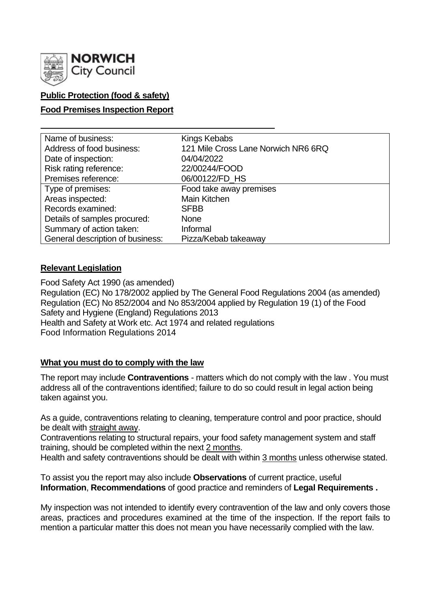

# **Public Protection (food & safety)**

### **Food Premises Inspection Report**

| Name of business:                | Kings Kebabs                        |
|----------------------------------|-------------------------------------|
| Address of food business:        | 121 Mile Cross Lane Norwich NR6 6RQ |
| Date of inspection:              | 04/04/2022                          |
| Risk rating reference:           | 22/00244/FOOD                       |
| Premises reference:              | 06/00122/FD_HS                      |
| Type of premises:                | Food take away premises             |
| Areas inspected:                 | Main Kitchen                        |
| Records examined:                | <b>SFBB</b>                         |
| Details of samples procured:     | <b>None</b>                         |
| Summary of action taken:         | Informal                            |
| General description of business: | Pizza/Kebab takeaway                |

### **Relevant Legislation**

Food Safety Act 1990 (as amended) Regulation (EC) No 178/2002 applied by The General Food Regulations 2004 (as amended) Regulation (EC) No 852/2004 and No 853/2004 applied by Regulation 19 (1) of the Food Safety and Hygiene (England) Regulations 2013 Health and Safety at Work etc. Act 1974 and related regulations Food Information Regulations 2014

### **What you must do to comply with the law**

The report may include **Contraventions** - matters which do not comply with the law . You must address all of the contraventions identified; failure to do so could result in legal action being taken against you.

As a guide, contraventions relating to cleaning, temperature control and poor practice, should be dealt with straight away.

Contraventions relating to structural repairs, your food safety management system and staff training, should be completed within the next 2 months.

Health and safety contraventions should be dealt with within 3 months unless otherwise stated.

To assist you the report may also include **Observations** of current practice, useful **Information**, **Recommendations** of good practice and reminders of **Legal Requirements .**

My inspection was not intended to identify every contravention of the law and only covers those areas, practices and procedures examined at the time of the inspection. If the report fails to mention a particular matter this does not mean you have necessarily complied with the law.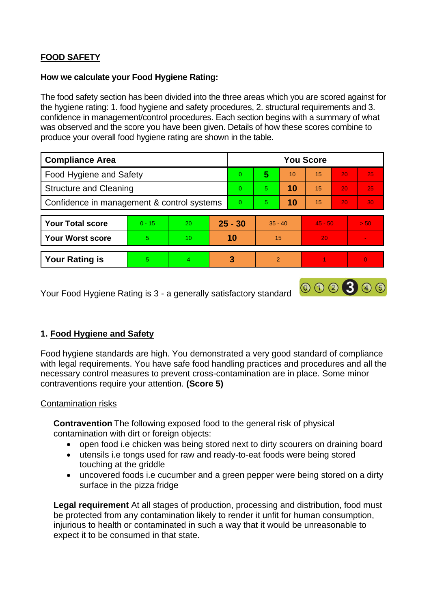# **FOOD SAFETY**

### **How we calculate your Food Hygiene Rating:**

The food safety section has been divided into the three areas which you are scored against for the hygiene rating: 1. food hygiene and safety procedures, 2. structural requirements and 3. confidence in management/control procedures. Each section begins with a summary of what was observed and the score you have been given. Details of how these scores combine to produce your overall food hygiene rating are shown in the table.

| <b>Compliance Area</b>                     |          |    |           | <b>You Score</b> |           |    |           |    |                          |  |
|--------------------------------------------|----------|----|-----------|------------------|-----------|----|-----------|----|--------------------------|--|
| <b>Food Hygiene and Safety</b>             |          |    |           | $\overline{0}$   | 5         | 10 | 15        | 20 | 25                       |  |
| <b>Structure and Cleaning</b>              |          |    |           | $\Omega$         | 5.        | 10 | 15        | 20 | 25                       |  |
| Confidence in management & control systems |          |    |           | $\overline{0}$   | 5         | 10 | 15        | 20 | 30 <sub>1</sub>          |  |
|                                            |          |    |           |                  |           |    |           |    |                          |  |
| <b>Your Total score</b>                    | $0 - 15$ | 20 | $25 - 30$ |                  | $35 - 40$ |    | $45 - 50$ |    | > 50                     |  |
| Your Worst score                           | 5        | 10 | 10        |                  | 15        |    | 20        |    | $\overline{\phantom{a}}$ |  |
|                                            |          |    |           |                  |           |    |           |    |                          |  |
| <b>Your Rating is</b>                      | 5        | 4  |           | 3                | 2         |    |           |    | $\overline{0}$           |  |

Your Food Hygiene Rating is 3 - a generally satisfactory standard

# **1. Food Hygiene and Safety**

Food hygiene standards are high. You demonstrated a very good standard of compliance with legal requirements. You have safe food handling practices and procedures and all the necessary control measures to prevent cross-contamination are in place. Some minor contraventions require your attention. **(Score 5)**

000300

### Contamination risks

**Contravention** The following exposed food to the general risk of physical contamination with dirt or foreign objects:

- open food i.e chicken was being stored next to dirty scourers on draining board
- utensils i.e tongs used for raw and ready-to-eat foods were being stored touching at the griddle
- uncovered foods i.e cucumber and a green pepper were being stored on a dirty surface in the pizza fridge

**Legal requirement** At all stages of production, processing and distribution, food must be protected from any contamination likely to render it unfit for human consumption, injurious to health or contaminated in such a way that it would be unreasonable to expect it to be consumed in that state.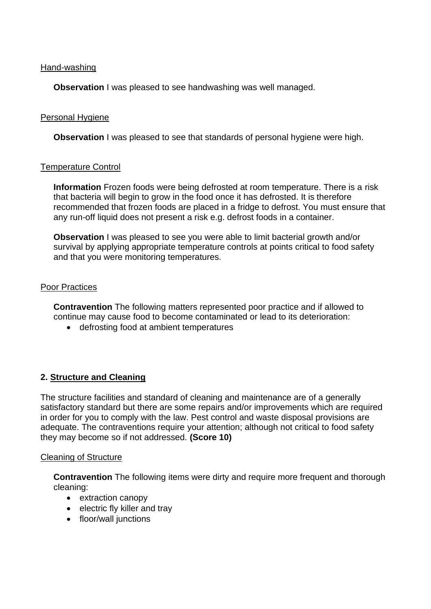#### Hand-washing

**Observation** I was pleased to see handwashing was well managed.

### Personal Hygiene

**Observation** I was pleased to see that standards of personal hygiene were high.

#### Temperature Control

**Information** Frozen foods were being defrosted at room temperature. There is a risk that bacteria will begin to grow in the food once it has defrosted. It is therefore recommended that frozen foods are placed in a fridge to defrost. You must ensure that any run-off liquid does not present a risk e.g. defrost foods in a container.

**Observation** I was pleased to see you were able to limit bacterial growth and/or survival by applying appropriate temperature controls at points critical to food safety and that you were monitoring temperatures.

#### Poor Practices

**Contravention** The following matters represented poor practice and if allowed to continue may cause food to become contaminated or lead to its deterioration:

• defrosting food at ambient temperatures

### **2. Structure and Cleaning**

The structure facilities and standard of cleaning and maintenance are of a generally satisfactory standard but there are some repairs and/or improvements which are required in order for you to comply with the law. Pest control and waste disposal provisions are adequate. The contraventions require your attention; although not critical to food safety they may become so if not addressed. **(Score 10)**

#### Cleaning of Structure

**Contravention** The following items were dirty and require more frequent and thorough cleaning:

- extraction canopy
- electric fly killer and tray
- floor/wall junctions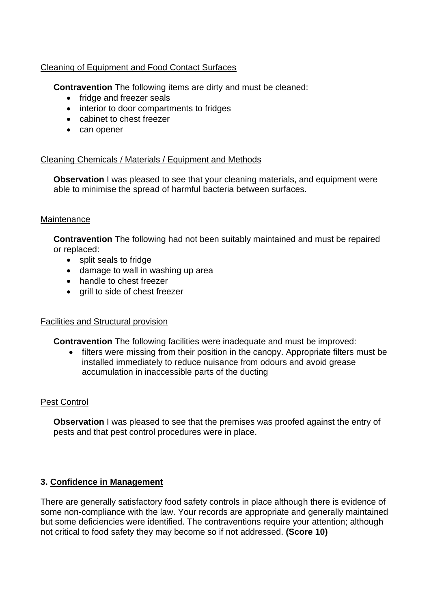## Cleaning of Equipment and Food Contact Surfaces

**Contravention** The following items are dirty and must be cleaned:

- fridge and freezer seals
- interior to door compartments to fridges
- cabinet to chest freezer
- can opener

### Cleaning Chemicals / Materials / Equipment and Methods

**Observation** I was pleased to see that your cleaning materials, and equipment were able to minimise the spread of harmful bacteria between surfaces.

### **Maintenance**

**Contravention** The following had not been suitably maintained and must be repaired or replaced:

- split seals to fridge
- damage to wall in washing up area
- handle to chest freezer
- grill to side of chest freezer

# Facilities and Structural provision

**Contravention** The following facilities were inadequate and must be improved:

• filters were missing from their position in the canopy. Appropriate filters must be installed immediately to reduce nuisance from odours and avoid grease accumulation in inaccessible parts of the ducting

# Pest Control

**Observation** I was pleased to see that the premises was proofed against the entry of pests and that pest control procedures were in place.

# **3. Confidence in Management**

There are generally satisfactory food safety controls in place although there is evidence of some non-compliance with the law. Your records are appropriate and generally maintained but some deficiencies were identified. The contraventions require your attention; although not critical to food safety they may become so if not addressed. **(Score 10)**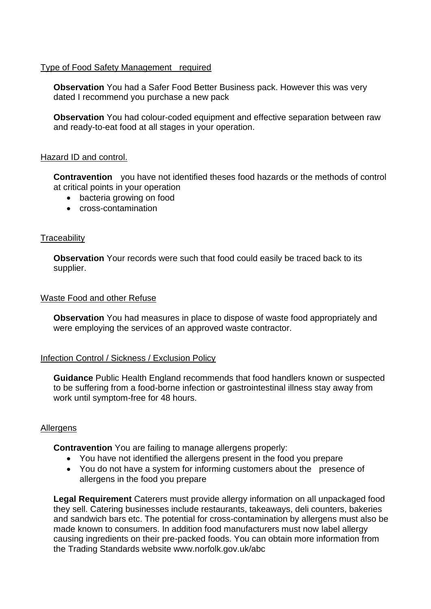### Type of Food Safety Management required

**Observation** You had a Safer Food Better Business pack. However this was very dated I recommend you purchase a new pack

**Observation** You had colour-coded equipment and effective separation between raw and ready-to-eat food at all stages in your operation.

#### Hazard ID and control.

**Contravention** you have not identified theses food hazards or the methods of control at critical points in your operation

- bacteria growing on food
- cross-contamination

### **Traceability**

**Observation** Your records were such that food could easily be traced back to its supplier.

#### Waste Food and other Refuse

**Observation** You had measures in place to dispose of waste food appropriately and were employing the services of an approved waste contractor.

### Infection Control / Sickness / Exclusion Policy

**Guidance** Public Health England recommends that food handlers known or suspected to be suffering from a food-borne infection or gastrointestinal illness stay away from work until symptom-free for 48 hours.

### Allergens

**Contravention** You are failing to manage allergens properly:

- You have not identified the allergens present in the food you prepare
- You do not have a system for informing customers about the presence of allergens in the food you prepare

**Legal Requirement** Caterers must provide allergy information on all unpackaged food they sell. Catering businesses include restaurants, takeaways, deli counters, bakeries and sandwich bars etc. The potential for cross-contamination by allergens must also be made known to consumers. In addition food manufacturers must now label allergy causing ingredients on their pre-packed foods. You can obtain more information from the Trading Standards website www.norfolk.gov.uk/abc